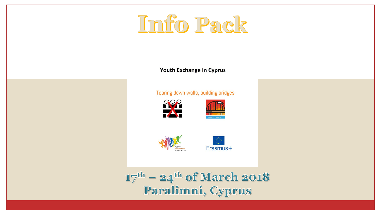# Info Pack

# **Put Yourself in their shoes**

#### Tearing down walls, building bridges





 $17<sup>th</sup>$  – 24<sup>th</sup> of March 2018 Paralimni, Cyprus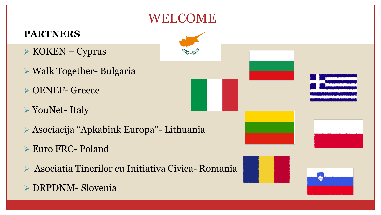#### WELCOME

#### **PARTNERS**

- $\triangleright$  KOKEN Cyprus
- Walk Together- Bulgaria
- OENEF- Greece
- YouNet- Italy
- Asociacija "Apkabink Europa"- Lithuania
- Euro FRC- Poland
- Asociatia Tinerilor cu Initiativa Civica- Romania

#### DRPDNM- Slovenia

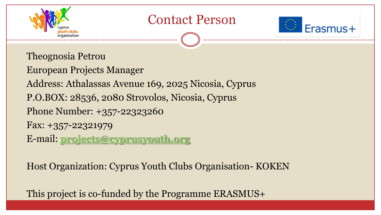![](_page_2_Picture_0.jpeg)

# Contact Person

![](_page_2_Picture_2.jpeg)

#### Theognosia Petrou

European Projects Manager Address: Athalassas Avenue 169, 2025 Nicosia, Cyprus P.O.BOX: 28536, 2080 Strovolos, Nicosia, Cyprus Phone Number: +357-22323260 Fax: +357-22321979 E-mail: **[projects@cyprusyouth.org](mailto:projects@cyprusyouth.org)**

Host Organization: Cyprus Youth Clubs Organisation- KOKEN

This project is co-funded by the Programme ERASMUS+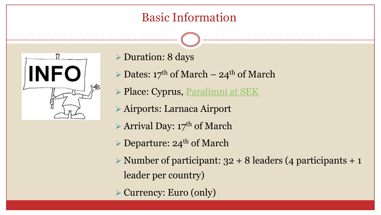#### Basic Information

![](_page_3_Figure_1.jpeg)

- Duration: 8 days
- $\triangleright$  Dates: 17<sup>th</sup> of March 24<sup>th</sup> of March
- **Place: Cyprus, [Paralimni at SEK](http://www.sek.org.cy/index.php/ypiresies2/eksoxikes-katoikies-sek/paralimni-oekdy-sek)**
- Airports: Larnaca Airport
- $\triangleright$  Arrival Day: 17<sup>th</sup> of March
- $\triangleright$  Departure: 24<sup>th</sup> of March
- $\triangleright$  Number of participant: 32 + 8 leaders (4 participants + 1 leader per country)
- Currency: Euro (only)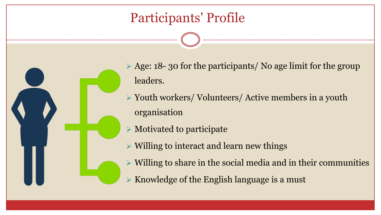# Participants' Profile

 $\geq$  Age: 18- 30 for the participants/ No age limit for the group leaders.

 Youth workers/ Volunteers/ Active members in a youth organisation

 $\triangleright$  Motivated to participate

 $\triangleright$  Willing to interact and learn new things

 $\triangleright$  Willing to share in the social media and in their communities

 $\triangleright$  Knowledge of the English language is a must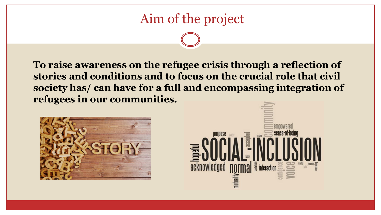# Aim of the project

**To raise awareness on the refugee crisis through a reflection of stories and conditions and to focus on the crucial role that civil society has/ can have for a full and encompassing integration of refugees in our communities.**

![](_page_5_Picture_2.jpeg)

![](_page_5_Picture_3.jpeg)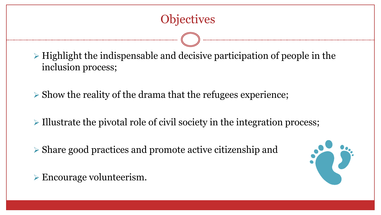$\triangleright$  Highlight the indispensable and decisive participation of people in the inclusion process;

 $\triangleright$  Show the reality of the drama that the refugees experience;

 $\triangleright$  Illustrate the pivotal role of civil society in the integration process;

Share good practices and promote active citizenship and

![](_page_6_Picture_5.jpeg)

Encourage volunteerism.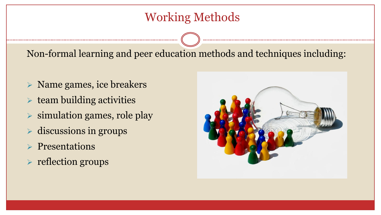#### Working Methods

Non-formal learning and peer education methods and techniques including:

- $\triangleright$  Name games, ice breakers
- $\triangleright$  team building activities
- $\triangleright$  simulation games, role play
- $\triangleright$  discussions in groups
- $\triangleright$  Presentations
- $\triangleright$  reflection groups

![](_page_7_Picture_8.jpeg)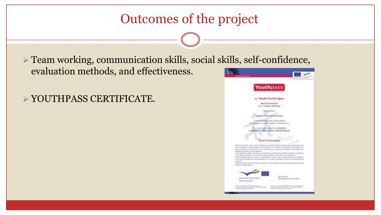# Outcomes of the project

 Team working, communication skills, social skills, self-confidence, evaluation methods, and effectiveness.

YOUTHPASS CERTIFICATE.

![](_page_8_Picture_3.jpeg)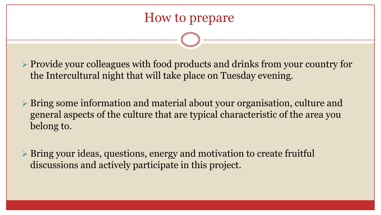Provide your colleagues with food products and drinks from your country for the Intercultural night that will take place on Tuesday evening.

 Bring some information and material about your organisation, culture and general aspects of the culture that are typical characteristic of the area you belong to.

 Bring your ideas, questions, energy and motivation to create fruitful discussions and actively participate in this project.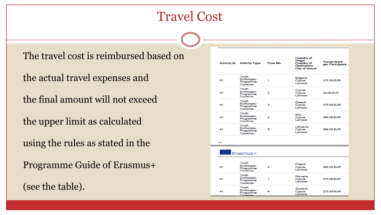# Travel Cost

The travel cost is reimbursed based on

the actual travel expenses and

the final amount will not exceed

the upper limit as calculated

using the rules as stated in the

Programme Guide of Erasmus+

(see the table).

|    | <b>Activity Id Activity Type</b>               | Flow No. | Country of<br>Origin<br>Country of<br><b>Destination</b><br><b>City of Venue</b> | <b>Travel Grant</b><br>per Participant |
|----|------------------------------------------------|----------|----------------------------------------------------------------------------------|----------------------------------------|
| Α1 | Youth<br>Exchanges -<br>Programme<br>Countries | 1        | <b>Bulgaria</b><br>Cyprus<br>Larnaca                                             | 275.00 EUR                             |
| Α1 | Youth<br>Exchanges -<br>Programme<br>Countries | 2        | Cyprus<br>Cyprus<br>Larnaca                                                      | 20.00 EUR                              |
| Α1 | Youth<br>Exchanges -<br>Programme<br>Countries | з        | Greece<br>Cyprus<br>Larnaca                                                      | 275,00 EUR                             |
| Α1 | Youth<br>Exchanges -<br>Programme<br>Countries | 4        | Italy<br>Cyprus<br>Larnaca                                                       | 360.00 EUR                             |
| А1 | Youth<br>Exchanges -<br>Programme<br>Countries | 5        | Lithuania<br>Cyprus<br>Larnaca                                                   | 360.00 EUR                             |
| EN |                                                |          |                                                                                  |                                        |
|    | Erasmus+                                       |          |                                                                                  |                                        |
| Α1 | Youth<br>Exchanges -<br>Programme<br>Countries | 6        | Poland<br>Cyprus<br>Larnaca                                                      | 360.00 EUR                             |
| Α1 | Youth<br>Exchanges -<br>Programme<br>Countries | 7        | Romania<br>Cyprus<br>Larnaca                                                     | 275,00 EUR                             |
| Α1 | Youth<br>Exchanges -<br>Programme              | 8        | Slovenia<br>Cyprus<br>Larnaca                                                    | 275,00 EUR                             |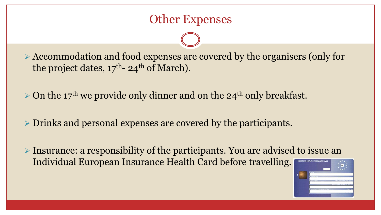#### Other Expenses

 Accommodation and food expenses are covered by the organisers (only for the project dates,  $17<sup>th</sup>$ - 24<sup>th</sup> of March).

 $\geq$  On the 17<sup>th</sup> we provide only dinner and on the 24<sup>th</sup> only breakfast.

Drinks and personal expenses are covered by the participants.

 Insurance: a responsibility of the participants. You are advised to issue an Individual European Insurance Health Card before travelling.

![](_page_11_Figure_5.jpeg)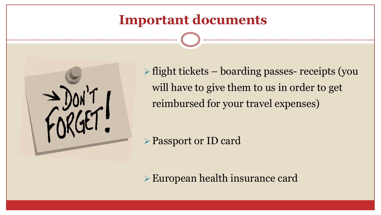# **Important documents**

![](_page_12_Picture_1.jpeg)

 $\triangleright$  flight tickets – boarding passes- receipts (you will have to give them to us in order to get reimbursed for your travel expenses)

Passport or ID card

European health insurance card